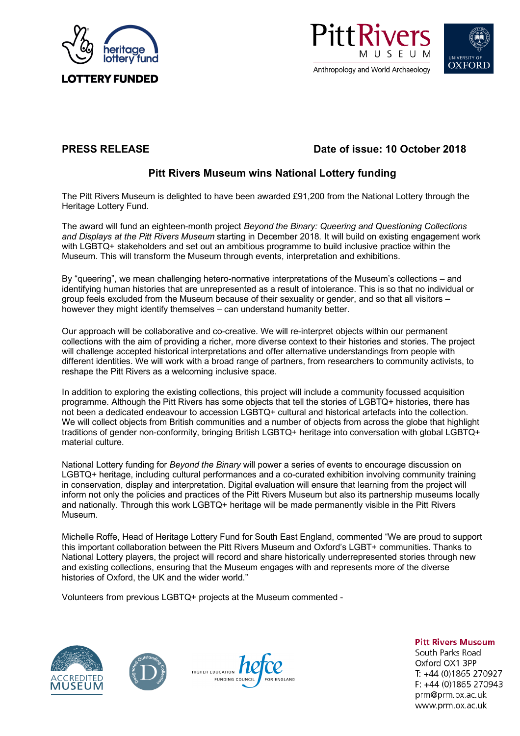





# **PRESS RELEASE Date of issue: 10 October 2018**

# **Pitt Rivers Museum wins National Lottery funding**

The Pitt Rivers Museum is delighted to have been awarded £91,200 from the National Lottery through the Heritage Lottery Fund.

The award will fund an eighteen-month project *Beyond the Binary: Queering and Questioning Collections and Displays at the Pitt Rivers Museum* starting in December 2018*.* It will build on existing engagement work with LGBTQ+ stakeholders and set out an ambitious programme to build inclusive practice within the Museum. This will transform the Museum through events, interpretation and exhibitions.

By "queering", we mean challenging hetero-normative interpretations of the Museum's collections – and identifying human histories that are unrepresented as a result of intolerance. This is so that no individual or group feels excluded from the Museum because of their sexuality or gender, and so that all visitors – however they might identify themselves – can understand humanity better.

Our approach will be collaborative and co-creative. We will re-interpret objects within our permanent collections with the aim of providing a richer, more diverse context to their histories and stories. The project will challenge accepted historical interpretations and offer alternative understandings from people with different identities. We will work with a broad range of partners, from researchers to community activists, to reshape the Pitt Rivers as a welcoming inclusive space.

In addition to exploring the existing collections, this project will include a community focussed acquisition programme. Although the Pitt Rivers has some objects that tell the stories of LGBTQ+ histories, there has not been a dedicated endeavour to accession LGBTQ+ cultural and historical artefacts into the collection. We will collect objects from British communities and a number of objects from across the globe that highlight traditions of gender non-conformity, bringing British LGBTQ+ heritage into conversation with global LGBTQ+ material culture.

National Lottery funding for *Beyond the Binary* will power a series of events to encourage discussion on LGBTQ+ heritage, including cultural performances and a co-curated exhibition involving community training in conservation, display and interpretation. Digital evaluation will ensure that learning from the project will inform not only the policies and practices of the Pitt Rivers Museum but also its partnership museums locally and nationally. Through this work LGBTQ+ heritage will be made permanently visible in the Pitt Rivers Museum.

Michelle Roffe, Head of Heritage Lottery Fund for South East England, commented "We are proud to support this important collaboration between the Pitt Rivers Museum and Oxford's LGBT+ communities. Thanks to National Lottery players, the project will record and share historically underrepresented stories through new and existing collections, ensuring that the Museum engages with and represents more of the diverse histories of Oxford, the UK and the wider world."

Volunteers from previous LGBTQ+ projects at the Museum commented -







**Pitt Rivers Museum** South Parks Road Oxford OX1 3PP T: +44 (0)1865 270927  $F: +44(0)1865270943$ prm@prm.ox.ac.uk www.prm.ox.ac.uk